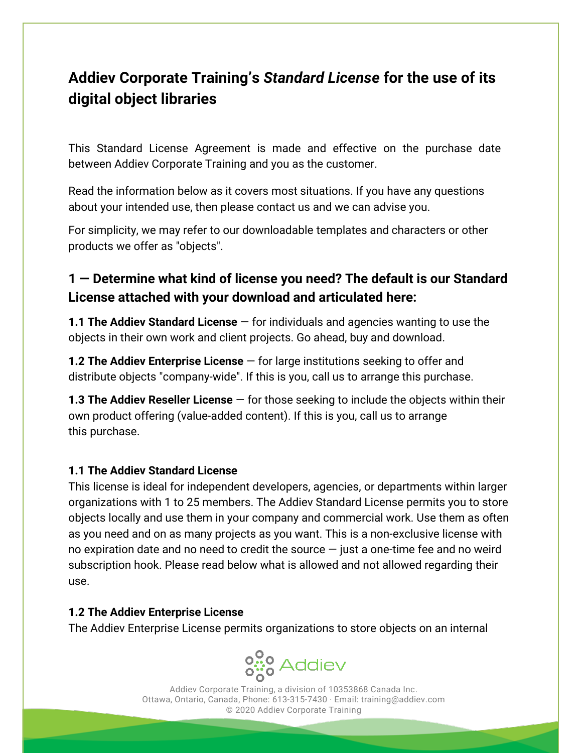# **Addiev Corporate Training's** *Standard License* **for the use of its digital object libraries**

This Standard License Agreement is made and effective on the purchase date between Addiev Corporate Training and you as the customer.

Read the information below as it covers most situations. If you have any questions about your intended use, then please contact us and we can advise you.

For simplicity, we may refer to our downloadable templates and characters or other products we offer as "objects".

## **1 — Determine what kind of license you need? The default is our Standard License attached with your download and articulated here:**

**1.1 The Addiev Standard License** — for individuals and agencies wanting to use the objects in their own work and client projects. Go ahead, buy and download.

**1.2 The Addiev Enterprise License** — for large institutions seeking to offer and distribute objects "company-wide". If this is you, call us to arrange this purchase.

**1.3 The Addiev Reseller License** — for those seeking to include the objects within their own product offering (value-added content). If this is you, call us to arrange this purchase.

### **1.1 The Addiev Standard License**

This license is ideal for independent developers, agencies, or departments within larger organizations with 1 to 25 members. The Addiev Standard License permits you to store objects locally and use them in your company and commercial work. Use them as often as you need and on as many projects as you want. This is a non-exclusive license with no expiration date and no need to credit the source  $-$  just a one-time fee and no weird subscription hook. Please read below what is allowed and not allowed regarding their use.

#### **1.2 The Addiev Enterprise License**

The Addiev Enterprise License permits organizations to store objects on an internal



Addiev Corporate Training, a division of 10353868 Canada Inc. Ottawa, Ontario, Canada, Phone: 613-315-7430 · Email: training@addiev.com © 2020 Addiev Corporate Training

**Contract**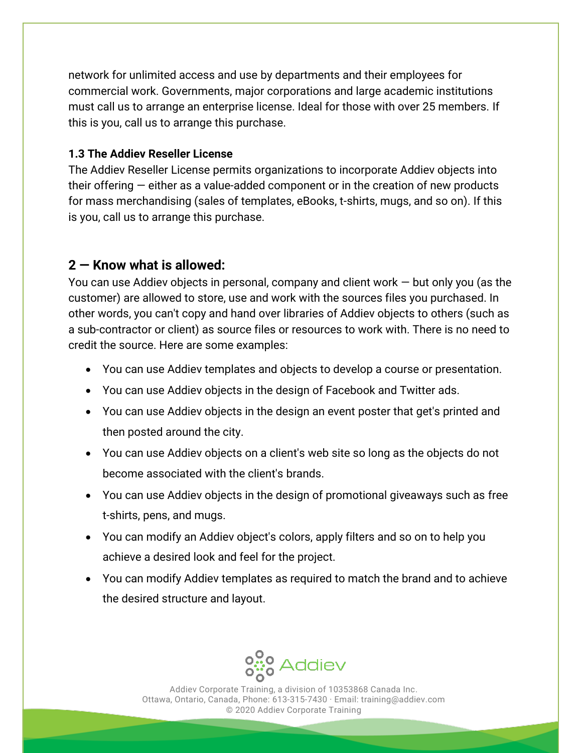network for unlimited access and use by departments and their employees for commercial work. Governments, major corporations and large academic institutions must call us to arrange an enterprise license. Ideal for those with over 25 members. If this is you, call us to arrange this purchase.

### **1.3 The Addiev Reseller License**

The Addiev Reseller License permits organizations to incorporate Addiev objects into their offering — either as a value-added component or in the creation of new products for mass merchandising (sales of templates, eBooks, t-shirts, mugs, and so on). If this is you, call us to arrange this purchase.

### **2 — Know what is allowed:**

You can use Addiev objects in personal, company and client work  $-$  but only you (as the customer) are allowed to store, use and work with the sources files you purchased. In other words, you can't copy and hand over libraries of Addiev objects to others (such as a sub-contractor or client) as source files or resources to work with. There is no need to credit the source. Here are some examples:

- You can use Addiev templates and objects to develop a course or presentation.
- You can use Addiev objects in the design of Facebook and Twitter ads.
- You can use Addiev objects in the design an event poster that get's printed and then posted around the city.
- You can use Addiev objects on a client's web site so long as the objects do not become associated with the client's brands.
- You can use Addiev objects in the design of promotional giveaways such as free t-shirts, pens, and mugs.
- You can modify an Addiev object's colors, apply filters and so on to help you achieve a desired look and feel for the project.
- You can modify Addiev templates as required to match the brand and to achieve the desired structure and layout.



Addiev Corporate Training, a division of 10353868 Canada Inc. Ottawa, Ontario, Canada, Phone: 613-315-7430 · Email: training@addiev.com © 2020 Addiev Corporate Training

**Contract**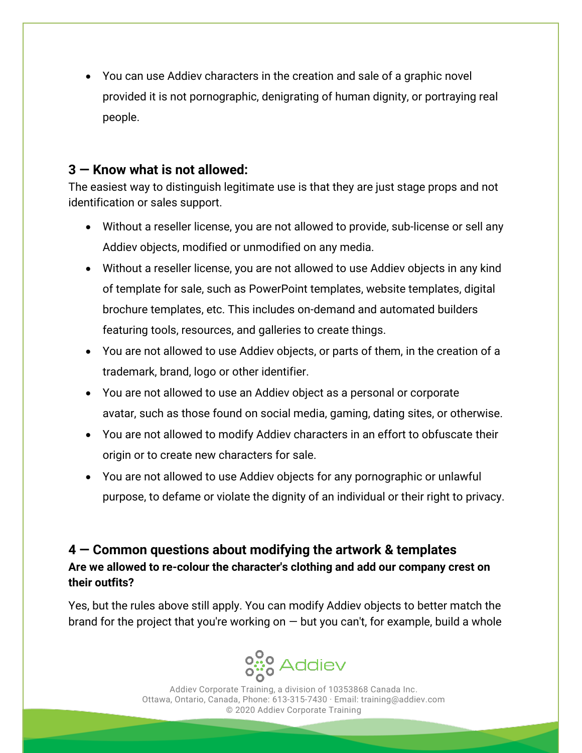• You can use Addiev characters in the creation and sale of a graphic novel provided it is not pornographic, denigrating of human dignity, or portraying real people.

### **3 — Know what is not allowed:**

The easiest way to distinguish legitimate use is that they are just stage props and not identification or sales support.

- Without a reseller license, you are not allowed to provide, sub-license or sell any Addiev objects, modified or unmodified on any media.
- Without a reseller license, you are not allowed to use Addiev objects in any kind of template for sale, such as PowerPoint templates, website templates, digital brochure templates, etc. This includes on-demand and automated builders featuring tools, resources, and galleries to create things.
- You are not allowed to use Addiev objects, or parts of them, in the creation of a trademark, brand, logo or other identifier.
- You are not allowed to use an Addiev object as a personal or corporate avatar, such as those found on social media, gaming, dating sites, or otherwise.
- You are not allowed to modify Addiev characters in an effort to obfuscate their origin or to create new characters for sale.
- You are not allowed to use Addiev objects for any pornographic or unlawful purpose, to defame or violate the dignity of an individual or their right to privacy.

**4 — Common questions about modifying the artwork & templates Are we allowed to re-colour the character's clothing and add our company crest on their outfits?**

Yes, but the rules above still apply. You can modify Addiev objects to better match the brand for the project that you're working on  $-$  but you can't, for example, build a whole



Addiev Corporate Training, a division of 10353868 Canada Inc. Ottawa, Ontario, Canada, Phone: 613-315-7430 · Email: training@addiev.com © 2020 Addiev Corporate Training

a sa